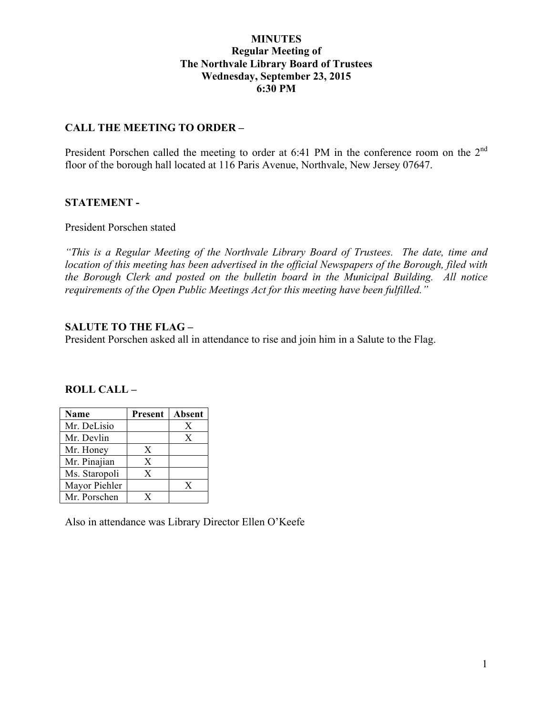#### **MINUTES Regular Meeting of The Northvale Library Board of Trustees Wednesday, September 23, 2015 6:30 PM**

#### **CALL THE MEETING TO ORDER –**

President Porschen called the meeting to order at 6:41 PM in the conference room on the 2<sup>nd</sup> floor of the borough hall located at 116 Paris Avenue, Northvale, New Jersey 07647.

#### **STATEMENT -**

President Porschen stated

*"This is a Regular Meeting of the Northvale Library Board of Trustees. The date, time and location of this meeting has been advertised in the official Newspapers of the Borough, filed with the Borough Clerk and posted on the bulletin board in the Municipal Building. All notice requirements of the Open Public Meetings Act for this meeting have been fulfilled."* 

#### **SALUTE TO THE FLAG –**

President Porschen asked all in attendance to rise and join him in a Salute to the Flag.

#### **ROLL CALL –**

| <b>Name</b>   | <b>Present</b> | Absent |
|---------------|----------------|--------|
| Mr. DeLisio   |                | X      |
| Mr. Devlin    |                | X      |
| Mr. Honey     | X              |        |
| Mr. Pinajian  | X              |        |
| Ms. Staropoli | X              |        |
| Mayor Piehler |                | X      |
| Mr. Porschen  |                |        |

Also in attendance was Library Director Ellen O'Keefe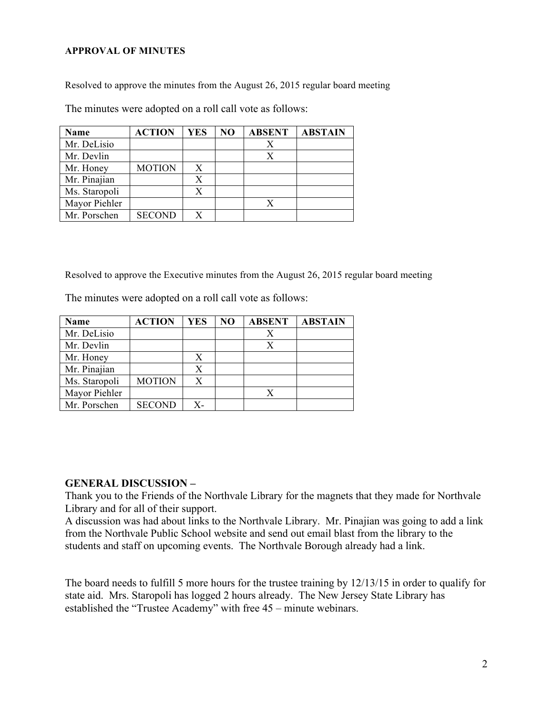#### **APPROVAL OF MINUTES**

Resolved to approve the minutes from the August 26, 2015 regular board meeting

The minutes were adopted on a roll call vote as follows:

| <b>Name</b>   | <b>ACTION</b> | YES | NO | <b>ABSENT</b> | <b>ABSTAIN</b> |
|---------------|---------------|-----|----|---------------|----------------|
| Mr. DeLisio   |               |     |    | Х             |                |
| Mr. Devlin    |               |     |    | X             |                |
| Mr. Honey     | <b>MOTION</b> | X   |    |               |                |
| Mr. Pinajian  |               | X   |    |               |                |
| Ms. Staropoli |               | X   |    |               |                |
| Mayor Piehler |               |     |    | Х             |                |
| Mr. Porschen  | <b>SECOND</b> | X   |    |               |                |

Resolved to approve the Executive minutes from the August 26, 2015 regular board meeting

The minutes were adopted on a roll call vote as follows:

| <b>Name</b>   | <b>ACTION</b> | YES | N <sub>O</sub> | <b>ABSENT</b> | <b>ABSTAIN</b> |
|---------------|---------------|-----|----------------|---------------|----------------|
| Mr. DeLisio   |               |     |                |               |                |
| Mr. Devlin    |               |     |                |               |                |
| Mr. Honey     |               | X   |                |               |                |
| Mr. Pinajian  |               |     |                |               |                |
| Ms. Staropoli | <b>MOTION</b> | X   |                |               |                |
| Mayor Piehler |               |     |                |               |                |
| Mr. Porschen  | <b>SECOND</b> | x.  |                |               |                |

#### **GENERAL DISCUSSION –**

Thank you to the Friends of the Northvale Library for the magnets that they made for Northvale Library and for all of their support.

A discussion was had about links to the Northvale Library. Mr. Pinajian was going to add a link from the Northvale Public School website and send out email blast from the library to the students and staff on upcoming events. The Northvale Borough already had a link.

The board needs to fulfill 5 more hours for the trustee training by 12/13/15 in order to qualify for state aid. Mrs. Staropoli has logged 2 hours already. The New Jersey State Library has established the "Trustee Academy" with free 45 – minute webinars.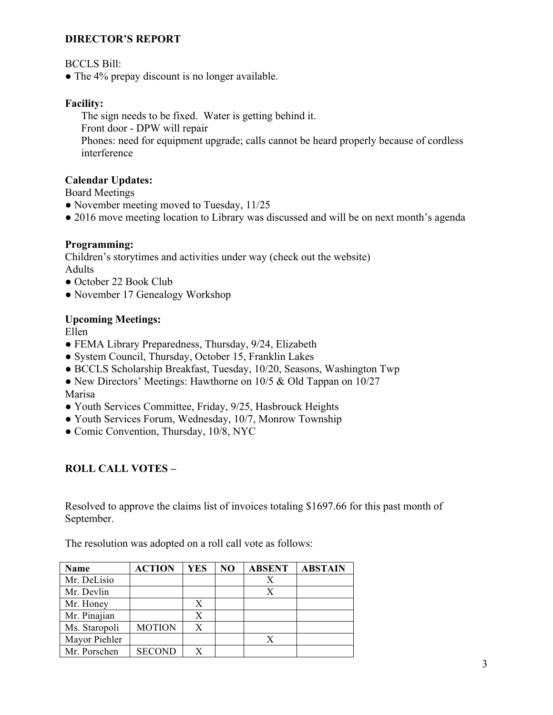### **DIRECTOR'S REPORT**

BCCLS Bill:

• The 4% prepay discount is no longer available.

## **Facility:**

The sign needs to be fixed. Water is getting behind it. Front door - DPW will repair Phones: need for equipment upgrade; calls cannot be heard properly because of cordless interference

### **Calendar Updates:**

Board Meetings

- November meeting moved to Tuesday, 11/25
- 2016 move meeting location to Library was discussed and will be on next month's agenda

## **Programming:**

Children's storytimes and activities under way (check out the website) Adults

- October 22 Book Club
- November 17 Genealogy Workshop

### **Upcoming Meetings:**

Ellen

- FEMA Library Preparedness, Thursday, 9/24, Elizabeth
- System Council, Thursday, October 15, Franklin Lakes
- BCCLS Scholarship Breakfast, Tuesday, 10/20, Seasons, Washington Twp
- New Directors' Meetings: Hawthorne on 10/5 & Old Tappan on 10/27 Marisa
- Youth Services Committee, Friday, 9/25, Hasbrouck Heights
- Youth Services Forum, Wednesday, 10/7, Monrow Township
- Comic Convention, Thursday, 10/8, NYC

# **ROLL CALL VOTES –**

Resolved to approve the claims list of invoices totaling \$1697.66 for this past month of September.

The resolution was adopted on a roll call vote as follows:

| <b>Name</b>   | <b>ACTION</b> | <b>YES</b> | N <sub>O</sub> | <b>ABSENT</b> | <b>ABSTAIN</b> |
|---------------|---------------|------------|----------------|---------------|----------------|
| Mr. DeLisio   |               |            |                |               |                |
| Mr. Devlin    |               |            |                |               |                |
| Mr. Honey     |               |            |                |               |                |
| Mr. Pinajian  |               | X          |                |               |                |
| Ms. Staropoli | <b>MOTION</b> | X          |                |               |                |
| Mayor Piehler |               |            |                |               |                |
| Mr. Porschen  | <b>SECOND</b> |            |                |               |                |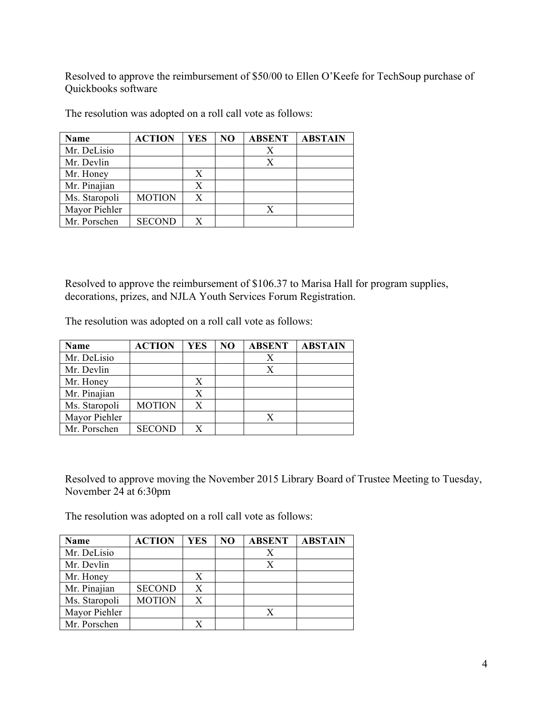Resolved to approve the reimbursement of \$50/00 to Ellen O'Keefe for TechSoup purchase of Quickbooks software

| <b>Name</b>   | <b>ACTION</b> | YES | N <sub>O</sub> | <b>ABSENT</b> | <b>ABSTAIN</b> |
|---------------|---------------|-----|----------------|---------------|----------------|
| Mr. DeLisio   |               |     |                | Х             |                |
| Mr. Devlin    |               |     |                | Х             |                |
| Mr. Honey     |               | X   |                |               |                |
| Mr. Pinajian  |               | X   |                |               |                |
| Ms. Staropoli | <b>MOTION</b> | X   |                |               |                |
| Mayor Piehler |               |     |                | X             |                |
| Mr. Porschen  | <b>SECOND</b> |     |                |               |                |

The resolution was adopted on a roll call vote as follows:

Resolved to approve the reimbursement of \$106.37 to Marisa Hall for program supplies, decorations, prizes, and NJLA Youth Services Forum Registration.

The resolution was adopted on a roll call vote as follows:

| <b>Name</b>   | <b>ACTION</b> | <b>YES</b> | NO | <b>ABSENT</b> | <b>ABSTAIN</b> |
|---------------|---------------|------------|----|---------------|----------------|
| Mr. DeLisio   |               |            |    |               |                |
| Mr. Devlin    |               |            |    |               |                |
| Mr. Honey     |               |            |    |               |                |
| Mr. Pinajian  |               |            |    |               |                |
| Ms. Staropoli | <b>MOTION</b> |            |    |               |                |
| Mayor Piehler |               |            |    |               |                |
| Mr. Porschen  | <b>SECOND</b> |            |    |               |                |

Resolved to approve moving the November 2015 Library Board of Trustee Meeting to Tuesday, November 24 at 6:30pm

The resolution was adopted on a roll call vote as follows:

| <b>Name</b>   | <b>ACTION</b> | <b>YES</b> | N <sub>O</sub> | <b>ABSENT</b> | <b>ABSTAIN</b> |
|---------------|---------------|------------|----------------|---------------|----------------|
| Mr. DeLisio   |               |            |                | X             |                |
| Mr. Devlin    |               |            |                | X             |                |
| Mr. Honey     |               | X          |                |               |                |
| Mr. Pinajian  | <b>SECOND</b> | X          |                |               |                |
| Ms. Staropoli | <b>MOTION</b> | X          |                |               |                |
| Mayor Piehler |               |            |                | X             |                |
| Mr. Porschen  |               |            |                |               |                |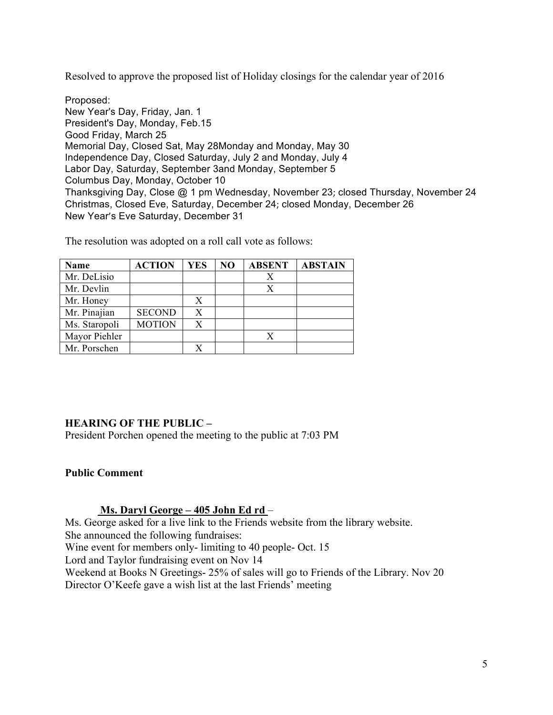Resolved to approve the proposed list of Holiday closings for the calendar year of 2016

Proposed: New Year's Day, Friday, Jan. 1 President's Day, Monday, Feb.15 Good Friday, March 25 Memorial Day, Closed Sat, May 28Monday and Monday, May 30 Independence Day, Closed Saturday, July 2 and Monday, July 4 Labor Day, Saturday, September 3and Monday, September 5 Columbus Day, Monday, October 10 Thanksgiving Day, Close @ 1 pm Wednesday, November 23; closed Thursday, November 24 Christmas, Closed Eve, Saturday, December 24; closed Monday, December 26 New Year's Eve Saturday, December 31

| <b>Name</b>   | <b>ACTION</b> | <b>YES</b> | N <sub>O</sub> | <b>ABSENT</b> | <b>ABSTAIN</b> |
|---------------|---------------|------------|----------------|---------------|----------------|
| Mr. DeLisio   |               |            |                | Χ             |                |
| Mr. Devlin    |               |            |                | X             |                |
| Mr. Honey     |               | Х          |                |               |                |
| Mr. Pinajian  | <b>SECOND</b> | Х          |                |               |                |
| Ms. Staropoli | <b>MOTION</b> | X          |                |               |                |
| Mayor Piehler |               |            |                | X             |                |
| Mr. Porschen  |               |            |                |               |                |

The resolution was adopted on a roll call vote as follows:

### **HEARING OF THE PUBLIC –**

President Porchen opened the meeting to the public at 7:03 PM

#### **Public Comment**

### **Ms. Daryl George – 405 John Ed rd** –

Ms. George asked for a live link to the Friends website from the library website. She announced the following fundraises: Wine event for members only- limiting to 40 people- Oct. 15 Lord and Taylor fundraising event on Nov 14 Weekend at Books N Greetings- 25% of sales will go to Friends of the Library. Nov 20 Director O'Keefe gave a wish list at the last Friends' meeting